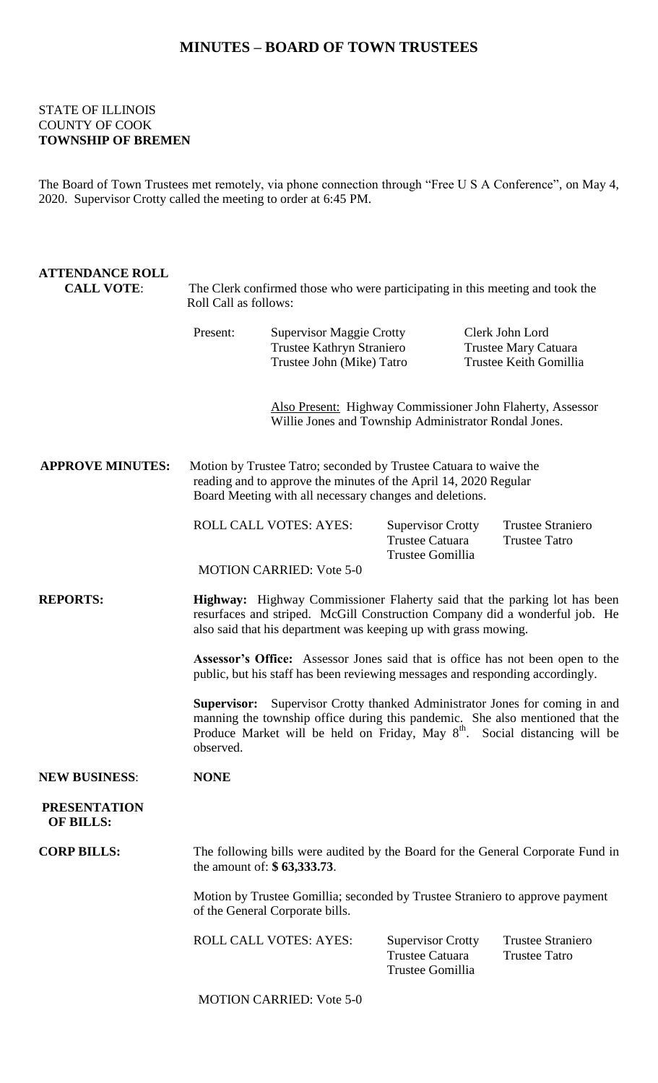## **MINUTES – BOARD OF TOWN TRUSTEES**

## STATE OF ILLINOIS COUNTY OF COOK **TOWNSHIP OF BREMEN**

The Board of Town Trustees met remotely, via phone connection through "Free U S A Conference", on May 4, 2020. Supervisor Crotty called the meeting to order at 6:45 PM.

| <b>ATTENDANCE ROLL</b><br><b>CALL VOTE:</b> | The Clerk confirmed those who were participating in this meeting and took the<br>Roll Call as follows:                                                                                                                                                                     |                                                                                           |                                                                        |                                                                          |  |
|---------------------------------------------|----------------------------------------------------------------------------------------------------------------------------------------------------------------------------------------------------------------------------------------------------------------------------|-------------------------------------------------------------------------------------------|------------------------------------------------------------------------|--------------------------------------------------------------------------|--|
|                                             | Present:                                                                                                                                                                                                                                                                   | <b>Supervisor Maggie Crotty</b><br>Trustee Kathryn Straniero<br>Trustee John (Mike) Tatro |                                                                        | Clerk John Lord<br><b>Trustee Mary Catuara</b><br>Trustee Keith Gomillia |  |
|                                             | Also Present: Highway Commissioner John Flaherty, Assessor<br>Willie Jones and Township Administrator Rondal Jones.                                                                                                                                                        |                                                                                           |                                                                        |                                                                          |  |
| <b>APPROVE MINUTES:</b>                     | Motion by Trustee Tatro; seconded by Trustee Catuara to waive the<br>reading and to approve the minutes of the April 14, 2020 Regular<br>Board Meeting with all necessary changes and deletions.                                                                           |                                                                                           |                                                                        |                                                                          |  |
|                                             |                                                                                                                                                                                                                                                                            | <b>ROLL CALL VOTES: AYES:</b><br><b>MOTION CARRIED: Vote 5-0</b>                          | <b>Supervisor Crotty</b><br>Trustee Catuara<br>Trustee Gomillia        | <b>Trustee Straniero</b><br><b>Trustee Tatro</b>                         |  |
| <b>REPORTS:</b>                             | Highway: Highway Commissioner Flaherty said that the parking lot has been<br>resurfaces and striped. McGill Construction Company did a wonderful job. He<br>also said that his department was keeping up with grass mowing.                                                |                                                                                           |                                                                        |                                                                          |  |
|                                             | Assessor's Office: Assessor Jones said that is office has not been open to the<br>public, but his staff has been reviewing messages and responding accordingly.                                                                                                            |                                                                                           |                                                                        |                                                                          |  |
|                                             | <b>Supervisor:</b> Supervisor Crotty thanked Administrator Jones for coming in and<br>manning the township office during this pandemic. She also mentioned that the<br>Produce Market will be held on Friday, May 8 <sup>th</sup> . Social distancing will be<br>observed. |                                                                                           |                                                                        |                                                                          |  |
| <b>NEW BUSINESS:</b>                        | <b>NONE</b>                                                                                                                                                                                                                                                                |                                                                                           |                                                                        |                                                                          |  |
| <b>PRESENTATION</b><br><b>OF BILLS:</b>     |                                                                                                                                                                                                                                                                            |                                                                                           |                                                                        |                                                                          |  |
| <b>CORP BILLS:</b>                          | The following bills were audited by the Board for the General Corporate Fund in<br>the amount of: \$63,333.73.                                                                                                                                                             |                                                                                           |                                                                        |                                                                          |  |
|                                             | Motion by Trustee Gomillia; seconded by Trustee Straniero to approve payment<br>of the General Corporate bills.                                                                                                                                                            |                                                                                           |                                                                        |                                                                          |  |
|                                             |                                                                                                                                                                                                                                                                            | ROLL CALL VOTES: AYES:                                                                    | <b>Supervisor Crotty</b><br><b>Trustee Catuara</b><br>Trustee Gomillia | <b>Trustee Straniero</b><br><b>Trustee Tatro</b>                         |  |

MOTION CARRIED: Vote 5-0